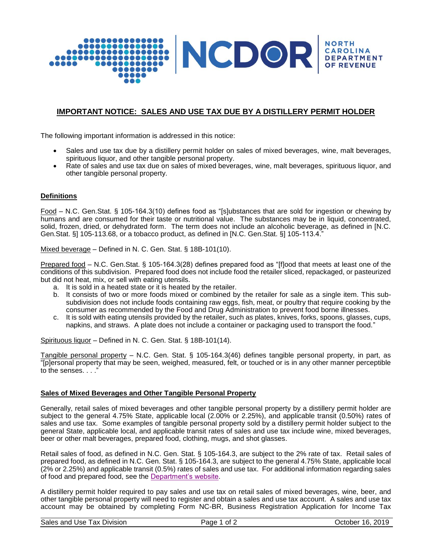

# **IMPORTANT NOTICE: SALES AND USE TAX DUE BY A DISTILLERY PERMIT HOLDER**

The following important information is addressed in this notice:

- Sales and use tax due by a distillery permit holder on sales of mixed beverages, wine, malt beverages, spirituous liquor, and other tangible personal property.
- Rate of sales and use tax due on sales of mixed beverages, wine, malt beverages, spirituous liquor, and other tangible personal property.

# **Definitions**

Food – N.C. Gen.Stat. § 105-164.3(10) defines food as "[s]ubstances that are sold for ingestion or chewing by humans and are consumed for their taste or nutritional value. The substances may be in liquid, concentrated, solid, frozen, dried, or dehydrated form. The term does not include an alcoholic beverage, as defined in [N.C. Gen.Stat. §] 105-113.68, or a tobacco product, as defined in [N.C. Gen.Stat. §] 105-113.4."

Mixed beverage – Defined in N. C. Gen. Stat. § 18B-101(10).

Prepared food – N.C. Gen.Stat. § 105-164.3(28) defines prepared food as "[f]ood that meets at least one of the conditions of this subdivision. Prepared food does not include food the retailer sliced, repackaged, or pasteurized but did not heat, mix, or sell with eating utensils.

- a. It is sold in a heated state or it is heated by the retailer.
- b. It consists of two or more foods mixed or combined by the retailer for sale as a single item. This subsubdivision does not include foods containing raw eggs, fish, meat, or poultry that require cooking by the consumer as recommended by the Food and Drug Administration to prevent food borne illnesses.
- c. It is sold with eating utensils provided by the retailer, such as plates, knives, forks, spoons, glasses, cups, napkins, and straws. A plate does not include a container or packaging used to transport the food."

Spirituous liquor – Defined in N. C. Gen. Stat. § 18B-101(14).

Tangible personal property – N.C. Gen. Stat. § 105-164.3(46) defines tangible personal property, in part, as "[p]ersonal property that may be seen, weighed, measured, felt, or touched or is in any other manner perceptible to the senses. . . ."

# **Sales of Mixed Beverages and Other Tangible Personal Property**

Generally, retail sales of mixed beverages and other tangible personal property by a distillery permit holder are subject to the general 4.75% State, applicable local (2.00% or 2.25%), and applicable transit (0.50%) rates of sales and use tax. Some examples of tangible personal property sold by a distillery permit holder subject to the general State, applicable local, and applicable transit rates of sales and use tax include wine, mixed beverages, beer or other malt beverages, prepared food, clothing, mugs, and shot glasses.

Retail sales of food, as defined in N.C. Gen. Stat. § 105-164.3, are subject to the 2% rate of tax. Retail sales of prepared food, as defined in N.C. Gen. Stat. § 105-164.3, are subject to the general 4.75% State, applicable local (2% or 2.25%) and applicable transit (0.5%) rates of sales and use tax. For additional information regarding sales of food and prepared food, see the [Department's website.](https://www.ncdor.gov/taxes-forms/sales-and-use-tax/food-non-qualifying-food-and-prepaid-meal-plans)

A distillery permit holder required to pay sales and use tax on retail sales of mixed beverages, wine, beer, and other tangible personal property will need to register and obtain a sales and use tax account. A sales and use tax account may be obtained by completing Form NC-BR, Business Registration Application for Income Tax